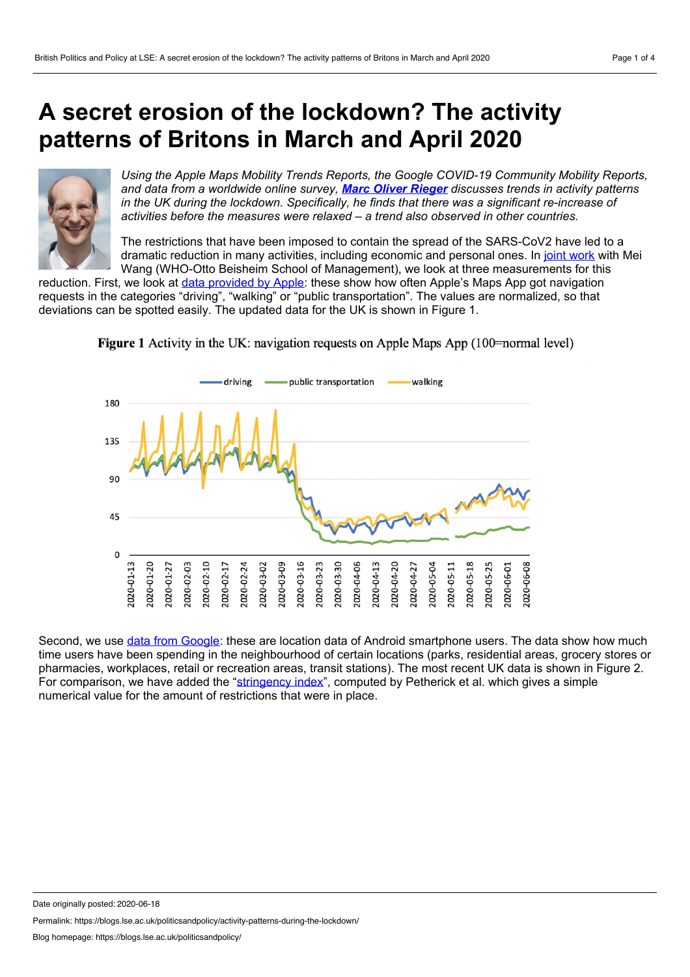## <span id="page-0-0"></span>**A secret erosion of the lockdown? The activity patterns of Britons in March and April 2020**



*Using the Apple Maps Mobility Trends Reports, the Google COVID-19 Community Mobility Reports, and data from aworldwide online survey, Marc Oliver [Rieger](#page-0-0) discusses trends in activity patterns in the UK during the lockdown. Specifically, he finds that there was a significant re-increase of activities before the measures were relaxed – a trend also observed in other countries.*

The restrictions that have been imposed to contain the spread of the SARS-CoV2 have led to a dramatic reduction in many activities, including economic and personal ones. In joint [work](http://www.nowpublishers.com/article/Details/RBE-0124) with Mei Wang (WHO-Otto Beisheim School of Management), we look at three measurements for this

reduction. First, we look at data [provided](https://www.apple.com/covid19/mobility) by Apple: these show how often Apple's Maps App got navigation requests in the categories "driving", "walking" or "public transportation". The values are normalized, so that deviations can be spotted easily. The updated data for the UK is shown in Figure 1.



**Figure 1** Activity in the UK: navigation requests on Apple Maps App (100–normal level)

Second, we use data from [Google:](https://www.google.com/covid19/mobility/) these are location data of Android smartphone users. The data show how much time users have been spending in the neighbourhood of certain locations (parks, residential areas, grocery stores or pharmacies, workplaces, retail or recreation areas, transit stations). The most recent UK data is shown in Figure 2. For comparison, we have added the ["stringency](https://www.bsg.ox.ac.uk/research/publications/variation-government-responses-covid-19) index", computed by Petherick et al. which gives a simple numerical value for the amount of restrictions that were in place.

Date originally posted: 2020-06-18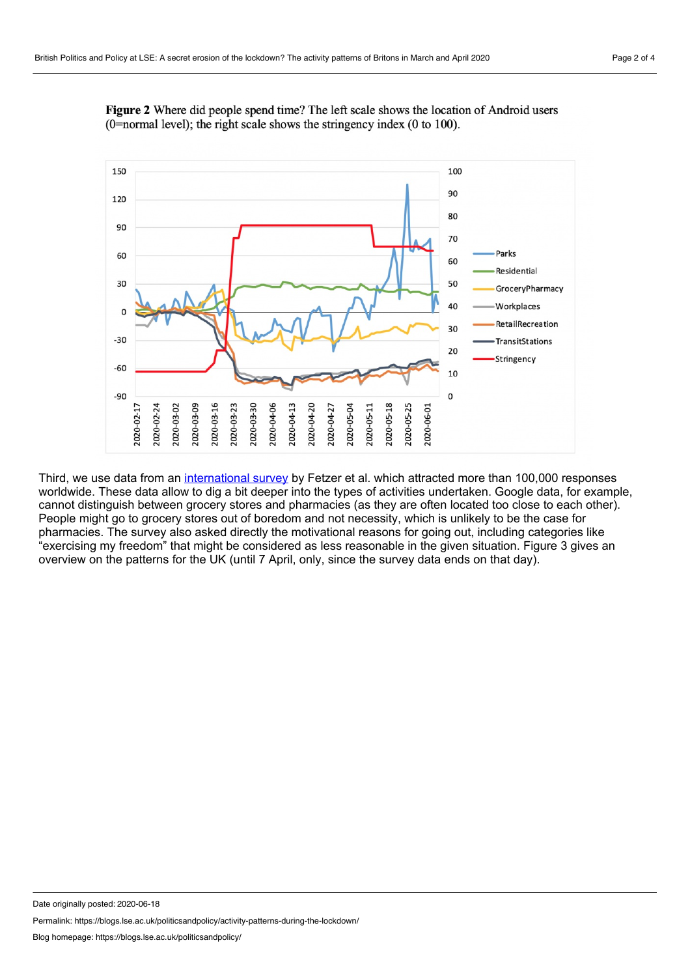



Third, we use data from an [international](https://osf.io/3sn2k/) survey by Fetzer et al. which attracted more than 100,000 responses worldwide. These data allow to dig a bit deeper into the types of activities undertaken. Google data, for example, cannot distinguish between grocery stores and pharmacies (as they are often located too close to each other). People might go to grocery stores out of boredom and not necessity, which is unlikely to be the case for pharmacies. The survey also asked directly the motivational reasons for going out, including categories like "exercising my freedom" that might be considered as less reasonable in the given situation. Figure 3 gives an overview on the patterns for the UK (until 7 April, only, since the survey data ends on that day).

Date originally posted: 2020-06-18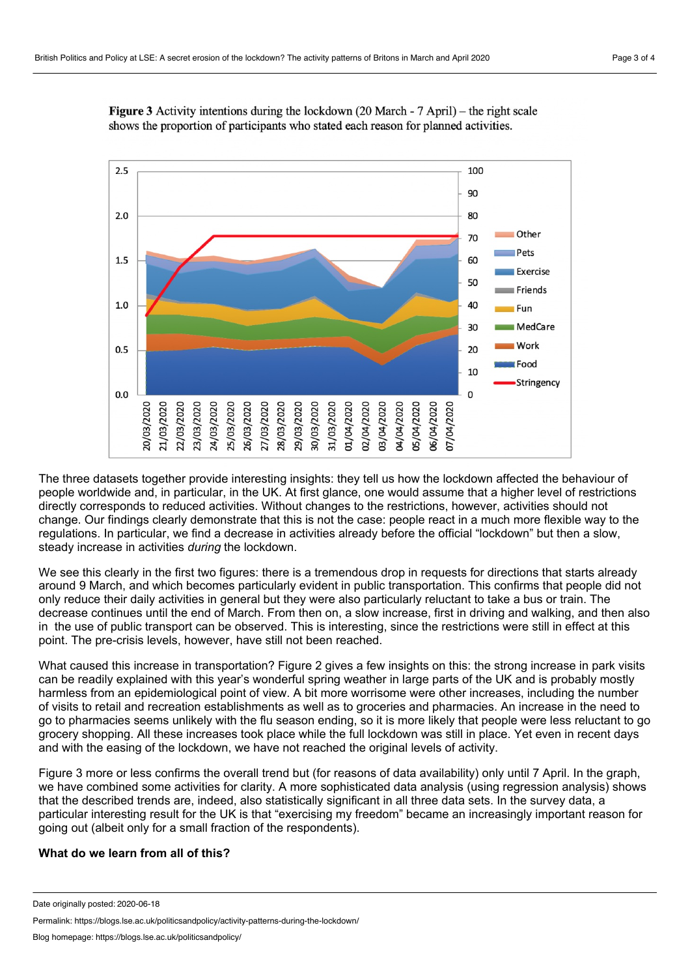

**Figure 3** Activity intentions during the lockdown  $(20 \text{ March} - 7 \text{ April})$  – the right scale shows the proportion of participants who stated each reason for planned activities.

The three datasets together provide interesting insights: they tell us how the lockdown affected the behaviour of people worldwide and, in particular, in the UK. At first glance, one would assume that a higher level of restrictions directly corresponds to reduced activities. Without changes to the restrictions, however, activities should not change. Our findings clearly demonstrate that this is not the case: people react in a much more flexible way to the regulations. In particular, we find a decrease in activities already before the official "lockdown" but then a slow, steady increase in activities *during* the lockdown.

We see this clearly in the first two figures: there is a tremendous drop in requests for directions that starts already around 9 March, and which becomes particularly evident in public transportation. This confirms that people did not only reduce their daily activities in general but they were also particularly reluctant to take a bus or train. The decrease continues until the end of March. From then on, a slow increase, first in driving and walking, and then also in the use of public transport can be observed. This is interesting, since the restrictions were still in effect at this point. The pre-crisis levels, however, have still not been reached.

What caused this increase in transportation? Figure 2 gives a few insights on this: the strong increase in park visits can be readily explained with this year's wonderful spring weather in large parts of the UK and is probably mostly harmless from an epidemiological point of view. A bit more worrisome were other increases, including the number of visits to retail and recreation establishments as well as to groceries and pharmacies. An increase in the need to go to pharmacies seems unlikely with the flu season ending, so it is more likely that people were less reluctant to go grocery shopping. All these increases took place while the full lockdown was still in place. Yet even in recent days and with the easing of the lockdown, we have not reached the original levels of activity.

Figure 3 more or less confirms the overall trend but (for reasons of data availability) only until 7 April. In the graph, we have combined some activities for clarity. A more sophisticated data analysis (using regression analysis) shows that the described trends are, indeed, also statistically significant in all three data sets. In the survey data, a particular interesting result for the UK is that "exercising my freedom" became an increasingly important reason for going out (albeit only for a small fraction of the respondents).

## **What do we learn from all of this?**

Date originally posted: 2020-06-18